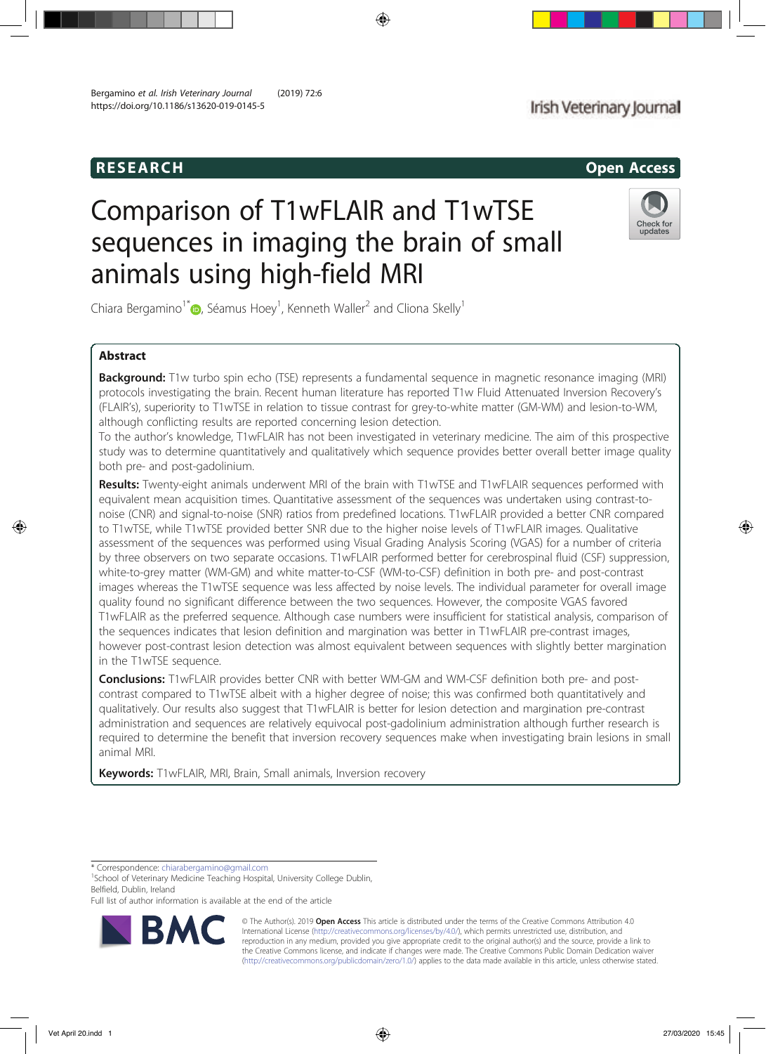# RESEARCH Open Access

# Comparison of T1wFLAIR and T1wTSE sequences in imaging the brain of small animals using high-field MRI

Chiara Bergamino<sup>1\*</sup> <sub>(D</sub>, Séamus Hoey<sup>1</sup>, Kenneth Waller<sup>2</sup> and Cliona Skelly<sup>1</sup>

# Abstract

**Background:** T1w turbo spin echo (TSE) represents a fundamental sequence in magnetic resonance imaging (MRI) protocols investigating the brain. Recent human literature has reported T1w Fluid Attenuated Inversion Recovery's (FLAIR's), superiority to T1wTSE in relation to tissue contrast for grey-to-white matter (GM-WM) and lesion-to-WM, although conflicting results are reported concerning lesion detection.

To the author's knowledge, T1wFLAIR has not been investigated in veterinary medicine. The aim of this prospective study was to determine quantitatively and qualitatively which sequence provides better overall better image quality both pre- and post-gadolinium.

Results: Twenty-eight animals underwent MRI of the brain with T1wTSE and T1wFLAIR sequences performed with equivalent mean acquisition times. Quantitative assessment of the sequences was undertaken using contrast-tonoise (CNR) and signal-to-noise (SNR) ratios from predefined locations. T1wFLAIR provided a better CNR compared to T1wTSE, while T1wTSE provided better SNR due to the higher noise levels of T1wFLAIR images. Qualitative assessment of the sequences was performed using Visual Grading Analysis Scoring (VGAS) for a number of criteria by three observers on two separate occasions. T1wFLAIR performed better for cerebrospinal fluid (CSF) suppression, white-to-grey matter (WM-GM) and white matter-to-CSF (WM-to-CSF) definition in both pre- and post-contrast images whereas the T1wTSE sequence was less affected by noise levels. The individual parameter for overall image quality found no significant difference between the two sequences. However, the composite VGAS favored T1wFLAIR as the preferred sequence. Although case numbers were insufficient for statistical analysis, comparison of the sequences indicates that lesion definition and margination was better in T1wFLAIR pre-contrast images, however post-contrast lesion detection was almost equivalent between sequences with slightly better margination in the T1wTSE sequence.

**Conclusions:** T1wFLAIR provides better CNR with better WM-GM and WM-CSF definition both pre- and postcontrast compared to T1wTSE albeit with a higher degree of noise; this was confirmed both quantitatively and qualitatively. Our results also suggest that T1wFLAIR is better for lesion detection and margination pre-contrast administration and sequences are relatively equivocal post-gadolinium administration although further research is required to determine the benefit that inversion recovery sequences make when investigating brain lesions in small animal MRI.

**Keywords:** T1wFLAIR, MRI, Brain, Small animals, Inversion recovery

\* Correspondence: chiarabergamino@gmail.com <sup>1</sup>

<sup>1</sup>School of Veterinary Medicine Teaching Hospital, University College Dublin, Belfield, Dublin, Ireland

Full list of author information is available at the end of the article



© The Author(s). 2019 Open Access This article is distributed under the terms of the Creative Commons Attribution 4.0 International License (http://creativecommons.org/licenses/by/4.0/), which permits unrestricted use, distribution, and reproduction in any medium, provided you give appropriate credit to the original author(s) and the source, provide a link to the Creative Commons license, and indicate if changes were made. The Creative Commons Public Domain Dedication waiver (http://creativecommons.org/publicdomain/zero/1.0/) applies to the data made available in this article, unless otherwise stated.



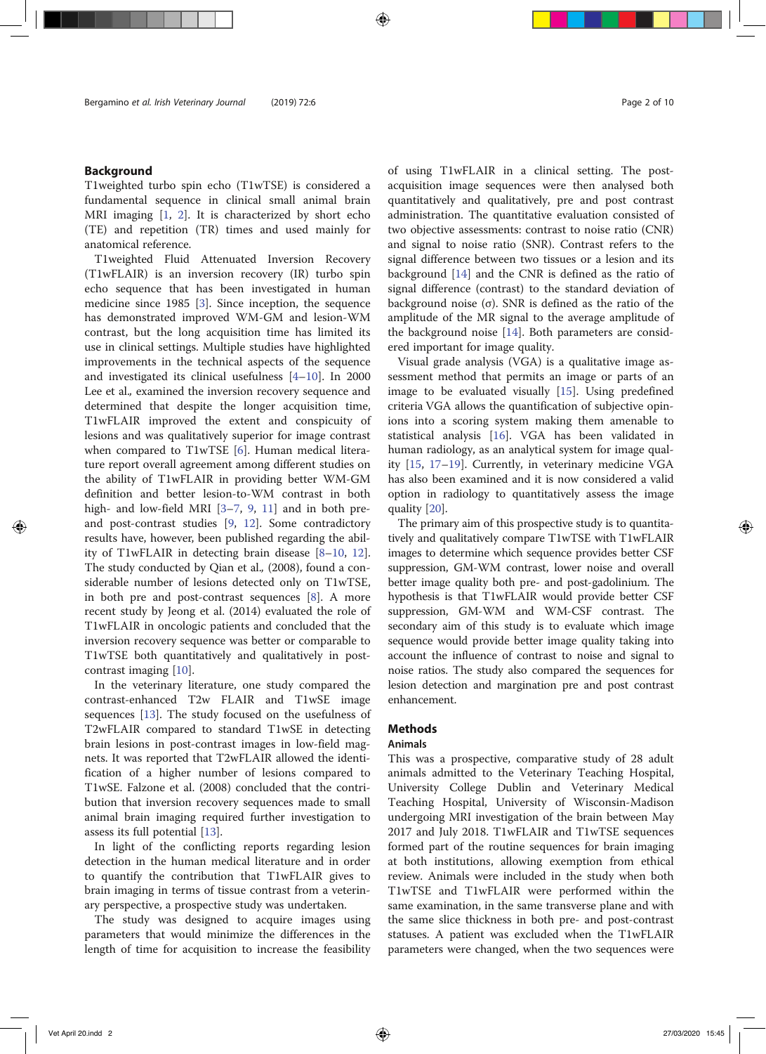# Background

T1weighted turbo spin echo (T1wTSE) is considered a fundamental sequence in clinical small animal brain MRI imaging [1, 2]. It is characterized by short echo (TE) and repetition (TR) times and used mainly for anatomical reference.

T1weighted Fluid Attenuated Inversion Recovery (T1wFLAIR) is an inversion recovery (IR) turbo spin echo sequence that has been investigated in human medicine since 1985 [3]. Since inception, the sequence has demonstrated improved WM-GM and lesion-WM contrast, but the long acquisition time has limited its use in clinical settings. Multiple studies have highlighted improvements in the technical aspects of the sequence and investigated its clinical usefulness [4–10]. In 2000 Lee et al., examined the inversion recovery sequence and determined that despite the longer acquisition time, T1wFLAIR improved the extent and conspicuity of lesions and was qualitatively superior for image contrast when compared to T1wTSE [6]. Human medical literature report overall agreement among different studies on the ability of T1wFLAIR in providing better WM-GM definition and better lesion-to-WM contrast in both high- and low-field MRI [3-7, 9, 11] and in both preand post-contrast studies [9, 12]. Some contradictory results have, however, been published regarding the ability of T1wFLAIR in detecting brain disease [8–10, 12]. The study conducted by Qian et al., (2008), found a considerable number of lesions detected only on T1wTSE, in both pre and post-contrast sequences [8]. A more recent study by Jeong et al. (2014) evaluated the role of T1wFLAIR in oncologic patients and concluded that the inversion recovery sequence was better or comparable to T1wTSE both quantitatively and qualitatively in postcontrast imaging [10].

In the veterinary literature, one study compared the contrast-enhanced T2w FLAIR and T1wSE image sequences [13]. The study focused on the usefulness of T2wFLAIR compared to standard T1wSE in detecting brain lesions in post-contrast images in low-field magnets. It was reported that T2wFLAIR allowed the identification of a higher number of lesions compared to T1wSE. Falzone et al. (2008) concluded that the contribution that inversion recovery sequences made to small animal brain imaging required further investigation to assess its full potential [13].

In light of the conflicting reports regarding lesion detection in the human medical literature and in order to quantify the contribution that T1wFLAIR gives to brain imaging in terms of tissue contrast from a veterinary perspective, a prospective study was undertaken.

The study was designed to acquire images using parameters that would minimize the differences in the length of time for acquisition to increase the feasibility of using T1wFLAIR in a clinical setting. The postacquisition image sequences were then analysed both quantitatively and qualitatively, pre and post contrast administration. The quantitative evaluation consisted of two objective assessments: contrast to noise ratio (CNR) and signal to noise ratio (SNR). Contrast refers to the signal difference between two tissues or a lesion and its background [14] and the CNR is defined as the ratio of signal difference (contrast) to the standard deviation of background noise (σ). SNR is defined as the ratio of the amplitude of the MR signal to the average amplitude of the background noise [14]. Both parameters are considered important for image quality.

Visual grade analysis (VGA) is a qualitative image assessment method that permits an image or parts of an image to be evaluated visually [15]. Using predefined criteria VGA allows the quantification of subjective opinions into a scoring system making them amenable to statistical analysis [16]. VGA has been validated in human radiology, as an analytical system for image quality [15, 17–19]. Currently, in veterinary medicine VGA has also been examined and it is now considered a valid option in radiology to quantitatively assess the image quality [20].

The primary aim of this prospective study is to quantitatively and qualitatively compare T1wTSE with T1wFLAIR images to determine which sequence provides better CSF suppression, GM-WM contrast, lower noise and overall better image quality both pre- and post-gadolinium. The hypothesis is that T1wFLAIR would provide better CSF suppression, GM-WM and WM-CSF contrast. The secondary aim of this study is to evaluate which image sequence would provide better image quality taking into account the influence of contrast to noise and signal to noise ratios. The study also compared the sequences for lesion detection and margination pre and post contrast enhancement.

## Methods

# Animals

This was a prospective, comparative study of 28 adult animals admitted to the Veterinary Teaching Hospital, University College Dublin and Veterinary Medical Teaching Hospital, University of Wisconsin-Madison undergoing MRI investigation of the brain between May 2017 and July 2018. T1wFLAIR and T1wTSE sequences formed part of the routine sequences for brain imaging at both institutions, allowing exemption from ethical review. Animals were included in the study when both T1wTSE and T1wFLAIR were performed within the same examination, in the same transverse plane and with the same slice thickness in both pre- and post-contrast statuses. A patient was excluded when the T1wFLAIR parameters were changed, when the two sequences were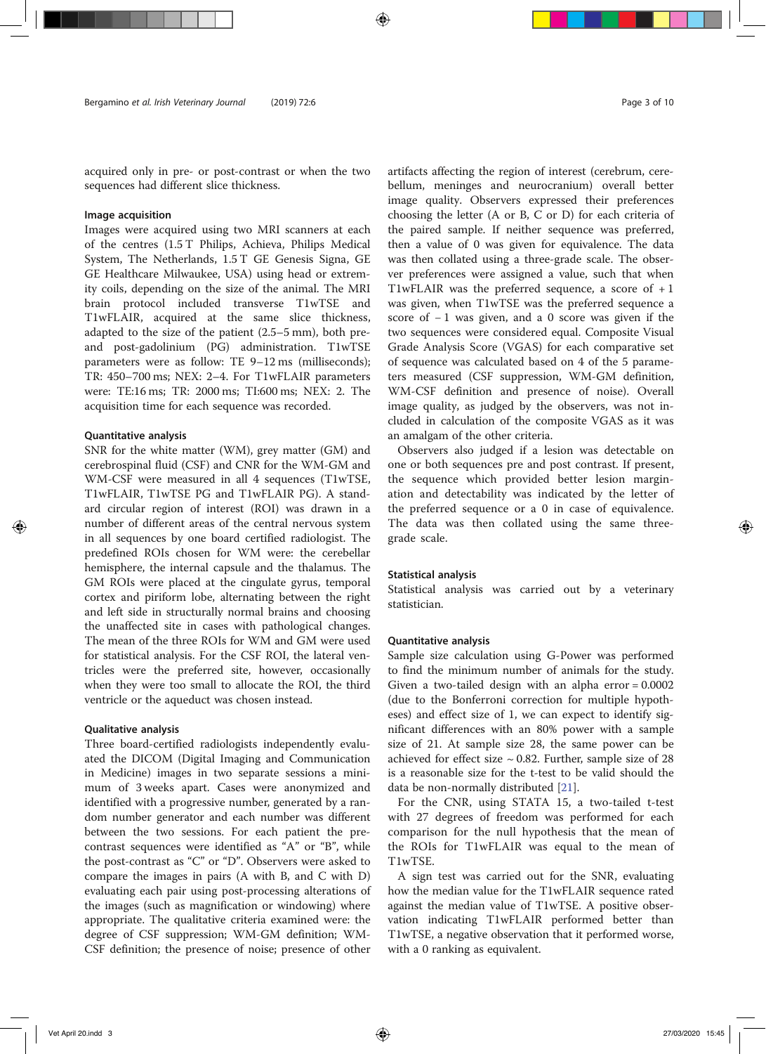acquired only in pre- or post-contrast or when the two sequences had different slice thickness.

#### Image acquisition

Images were acquired using two MRI scanners at each of the centres (1.5 T Philips, Achieva, Philips Medical System, The Netherlands, 1.5 T GE Genesis Signa, GE GE Healthcare Milwaukee, USA) using head or extremity coils, depending on the size of the animal. The MRI brain protocol included transverse T1wTSE and T1wFLAIR, acquired at the same slice thickness, adapted to the size of the patient (2.5–5 mm), both preand post-gadolinium (PG) administration. T1wTSE parameters were as follow: TE 9–12 ms (milliseconds); TR: 450–700 ms; NEX: 2–4. For T1wFLAIR parameters were: TE:16 ms; TR: 2000 ms; TI:600 ms; NEX: 2. The acquisition time for each sequence was recorded.

#### Quantitative analysis

SNR for the white matter (WM), grey matter (GM) and cerebrospinal fluid (CSF) and CNR for the WM-GM and WM-CSF were measured in all 4 sequences (T1wTSE, T1wFLAIR, T1wTSE PG and T1wFLAIR PG). A standard circular region of interest (ROI) was drawn in a number of different areas of the central nervous system in all sequences by one board certified radiologist. The predefined ROIs chosen for WM were: the cerebellar hemisphere, the internal capsule and the thalamus. The GM ROIs were placed at the cingulate gyrus, temporal cortex and piriform lobe, alternating between the right and left side in structurally normal brains and choosing the unaffected site in cases with pathological changes. The mean of the three ROIs for WM and GM were used for statistical analysis. For the CSF ROI, the lateral ventricles were the preferred site, however, occasionally when they were too small to allocate the ROI, the third ventricle or the aqueduct was chosen instead.

#### Qualitative analysis

Three board-certified radiologists independently evaluated the DICOM (Digital Imaging and Communication in Medicine) images in two separate sessions a minimum of 3 weeks apart. Cases were anonymized and identified with a progressive number, generated by a random number generator and each number was different between the two sessions. For each patient the precontrast sequences were identified as "A" or "B", while the post-contrast as "C" or "D". Observers were asked to compare the images in pairs (A with B, and C with D) evaluating each pair using post-processing alterations of the images (such as magnification or windowing) where appropriate. The qualitative criteria examined were: the degree of CSF suppression; WM-GM definition; WM-CSF definition; the presence of noise; presence of other artifacts affecting the region of interest (cerebrum, cerebellum, meninges and neurocranium) overall better image quality. Observers expressed their preferences choosing the letter (A or B, C or D) for each criteria of the paired sample. If neither sequence was preferred, then a value of 0 was given for equivalence. The data was then collated using a three-grade scale. The observer preferences were assigned a value, such that when T1wFLAIR was the preferred sequence, a score of  $+1$ was given, when T1wTSE was the preferred sequence a score of −1 was given, and a 0 score was given if the two sequences were considered equal. Composite Visual Grade Analysis Score (VGAS) for each comparative set of sequence was calculated based on 4 of the 5 parameters measured (CSF suppression, WM-GM definition, WM-CSF definition and presence of noise). Overall image quality, as judged by the observers, was not included in calculation of the composite VGAS as it was an amalgam of the other criteria.

Observers also judged if a lesion was detectable on one or both sequences pre and post contrast. If present, the sequence which provided better lesion margination and detectability was indicated by the letter of the preferred sequence or a 0 in case of equivalence. The data was then collated using the same threegrade scale.

#### Statistical analysis

Statistical analysis was carried out by a veterinary statistician.

#### Quantitative analysis

Sample size calculation using G-Power was performed to find the minimum number of animals for the study. Given a two-tailed design with an alpha  $error = 0.0002$ (due to the Bonferroni correction for multiple hypotheses) and effect size of 1, we can expect to identify significant differences with an 80% power with a sample size of 21. At sample size 28, the same power can be achieved for effect size  $\sim$  0.82. Further, sample size of 28 is a reasonable size for the t-test to be valid should the data be non-normally distributed [21].

For the CNR, using STATA 15, a two-tailed t-test with 27 degrees of freedom was performed for each comparison for the null hypothesis that the mean of the ROIs for T1wFLAIR was equal to the mean of T1wTSE.

A sign test was carried out for the SNR, evaluating how the median value for the T1wFLAIR sequence rated against the median value of T1wTSE. A positive observation indicating T1wFLAIR performed better than T1wTSE, a negative observation that it performed worse, with a 0 ranking as equivalent.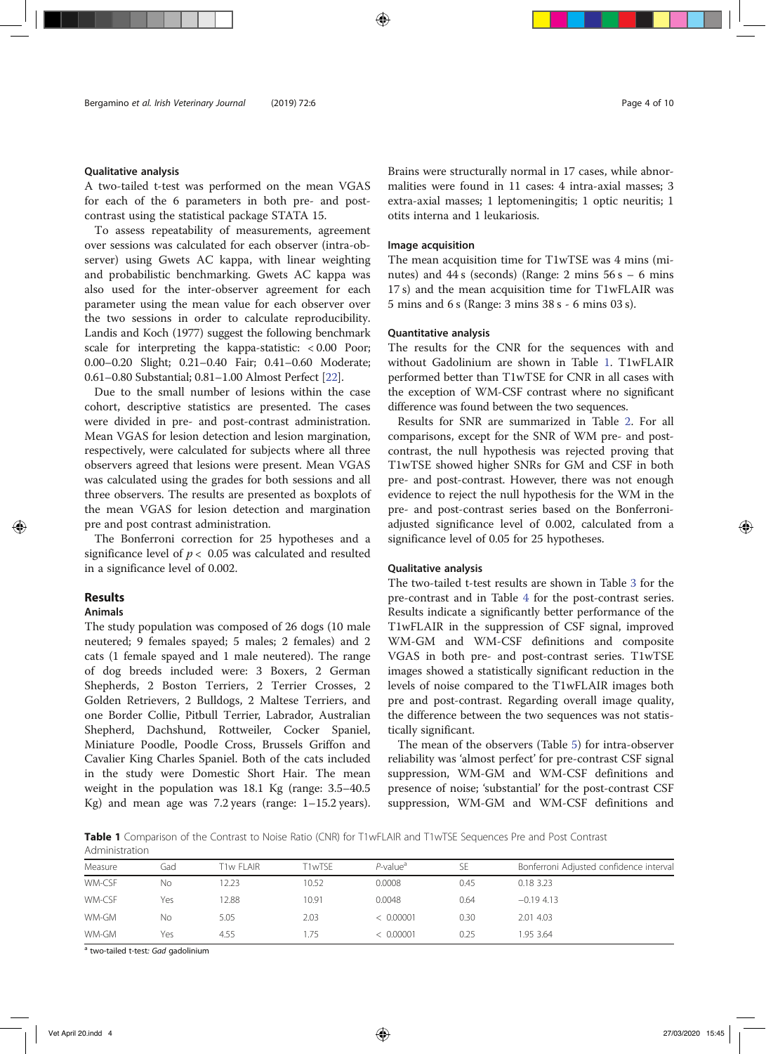#### Qualitative analysis

A two-tailed t-test was performed on the mean VGAS for each of the 6 parameters in both pre- and postcontrast using the statistical package STATA 15.

To assess repeatability of measurements, agreement over sessions was calculated for each observer (intra-observer) using Gwets AC kappa, with linear weighting and probabilistic benchmarking. Gwets AC kappa was also used for the inter-observer agreement for each parameter using the mean value for each observer over the two sessions in order to calculate reproducibility. Landis and Koch (1977) suggest the following benchmark scale for interpreting the kappa-statistic: < 0.00 Poor; 0.00–0.20 Slight; 0.21–0.40 Fair; 0.41–0.60 Moderate; 0.61–0.80 Substantial; 0.81–1.00 Almost Perfect [22].

Due to the small number of lesions within the case cohort, descriptive statistics are presented. The cases were divided in pre- and post-contrast administration. Mean VGAS for lesion detection and lesion margination, respectively, were calculated for subjects where all three observers agreed that lesions were present. Mean VGAS was calculated using the grades for both sessions and all three observers. The results are presented as boxplots of the mean VGAS for lesion detection and margination pre and post contrast administration.

The Bonferroni correction for 25 hypotheses and a significance level of  $p < 0.05$  was calculated and resulted in a significance level of 0.002.

# Results

# Animals

The study population was composed of 26 dogs (10 male neutered; 9 females spayed; 5 males; 2 females) and 2 cats (1 female spayed and 1 male neutered). The range of dog breeds included were: 3 Boxers, 2 German Shepherds, 2 Boston Terriers, 2 Terrier Crosses, 2 Golden Retrievers, 2 Bulldogs, 2 Maltese Terriers, and one Border Collie, Pitbull Terrier, Labrador, Australian Shepherd, Dachshund, Rottweiler, Cocker Spaniel, Miniature Poodle, Poodle Cross, Brussels Griffon and Cavalier King Charles Spaniel. Both of the cats included in the study were Domestic Short Hair. The mean weight in the population was 18.1 Kg (range: 3.5–40.5 Kg) and mean age was 7.2 years (range: 1–15.2 years). Brains were structurally normal in 17 cases, while abnormalities were found in 11 cases: 4 intra-axial masses; 3 extra-axial masses; 1 leptomeningitis; 1 optic neuritis; 1 otits interna and 1 leukariosis.

#### Image acquisition

The mean acquisition time for T1wTSE was 4 mins (minutes) and  $44 s$  (seconds) (Range: 2 mins  $56 s - 6$  mins 17 s) and the mean acquisition time for T1wFLAIR was 5 mins and 6 s (Range: 3 mins 38 s - 6 mins 03 s).

#### Quantitative analysis

The results for the CNR for the sequences with and without Gadolinium are shown in Table 1. T1wFLAIR performed better than T1wTSE for CNR in all cases with the exception of WM-CSF contrast where no significant difference was found between the two sequences.

Results for SNR are summarized in Table 2. For all comparisons, except for the SNR of WM pre- and postcontrast, the null hypothesis was rejected proving that T1wTSE showed higher SNRs for GM and CSF in both pre- and post-contrast. However, there was not enough evidence to reject the null hypothesis for the WM in the pre- and post-contrast series based on the Bonferroniadjusted significance level of 0.002, calculated from a significance level of 0.05 for 25 hypotheses.

#### Qualitative analysis

The two-tailed t-test results are shown in Table 3 for the pre-contrast and in Table 4 for the post-contrast series. Results indicate a significantly better performance of the T1wFLAIR in the suppression of CSF signal, improved WM-GM and WM-CSF definitions and composite VGAS in both pre- and post-contrast series. T1wTSE images showed a statistically significant reduction in the levels of noise compared to the T1wFLAIR images both pre and post-contrast. Regarding overall image quality, the difference between the two sequences was not statistically significant.

The mean of the observers (Table 5) for intra-observer reliability was 'almost perfect' for pre-contrast CSF signal suppression, WM-GM and WM-CSF definitions and presence of noise; 'substantial' for the post-contrast CSF suppression, WM-GM and WM-CSF definitions and

Table 1 Comparison of the Contrast to Noise Ratio (CNR) for T1wFLAIR and T1wTSE Sequences Pre and Post Contrast Administration

| Measure | Gad | T1w FLAIR | T1wTSF | $P$ -value <sup>a</sup> | SE   | Bonferroni Adjusted confidence interval |
|---------|-----|-----------|--------|-------------------------|------|-----------------------------------------|
| WM-CSF  | No  | 2.23      | 10.52  | 0.0008                  | 0.45 | 0.18 3.23                               |
| WM-CSF  | Yes | 2.88      | 10.91  | 0.0048                  | 0.64 | $-0.19$ 4.13                            |
| WM-GM   | No  | 5.05      | 2.03   | < 0.00001               | 0.30 | 2.01 4.03                               |
| WM-GM   | Yes | 4.55      | .75    | < 0.00001               | 0.25 | 1.95 3.64                               |

<sup>a</sup> two-tailed t-test: Gad gadolinium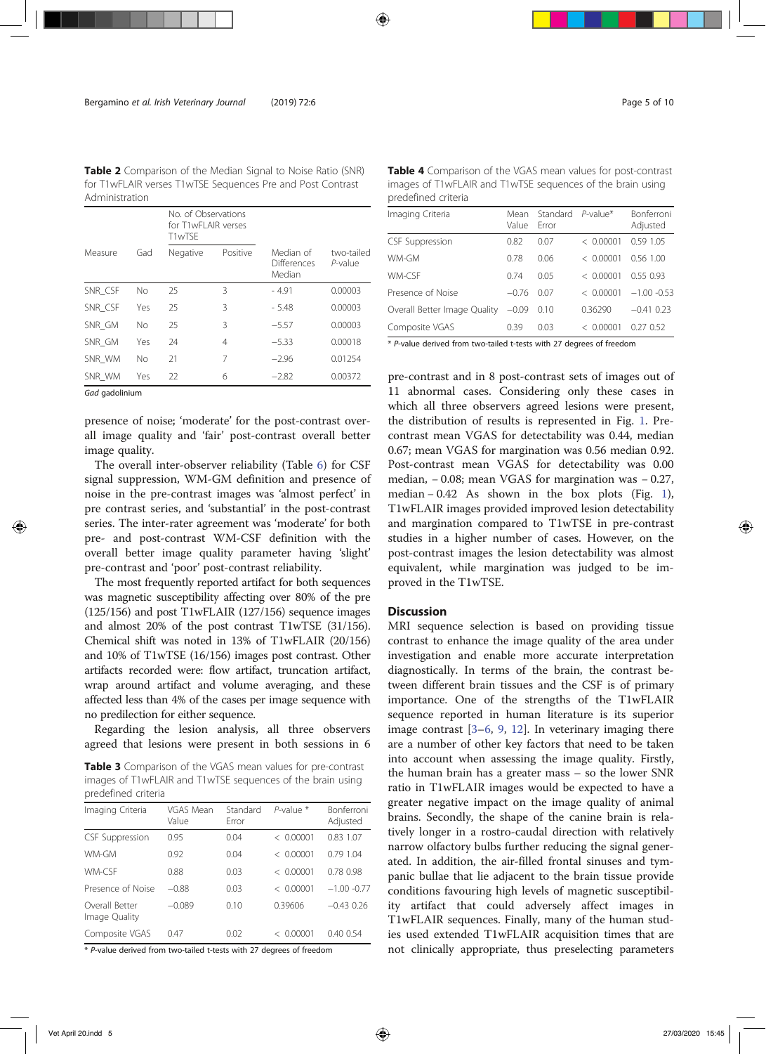Table 2 Comparison of the Median Signal to Noise Ratio (SNR) for T1wFLAIR verses T1wTSE Sequences Pre and Post Contrast Administration

|                |     | No. of Observations<br>for T1wFI AIR verses<br>T1wTSF |          |                                           |                          |
|----------------|-----|-------------------------------------------------------|----------|-------------------------------------------|--------------------------|
| Measure        | Gad | Negative                                              | Positive | Median of<br><b>Differences</b><br>Median | two-tailed<br>$P$ -value |
| SNR CSF        | No  | 25                                                    | 3        | - 4.91                                    | 0.00003                  |
| SNR_CSF        | Yes | 25                                                    | 3        | $-5.48$                                   | 0.00003                  |
| SNR GM         | No  | 25                                                    | 3        | $-5.57$                                   | 0.00003                  |
| SNR GM         | Yes | 24                                                    | 4        | $-5.33$                                   | 0.00018                  |
| SNR WM         | No  | 21                                                    | 7        | $-2.96$                                   | 0.01254                  |
| SNR_WM         | Yes | 22                                                    | 6        | $-2.82$                                   | 0.00372                  |
| Gad gadolinium |     |                                                       |          |                                           |                          |

presence of noise; 'moderate' for the post-contrast overall image quality and 'fair' post-contrast overall better image quality.

The overall inter-observer reliability (Table 6) for CSF signal suppression, WM-GM definition and presence of noise in the pre-contrast images was 'almost perfect' in pre contrast series, and 'substantial' in the post-contrast series. The inter-rater agreement was 'moderate' for both pre- and post-contrast WM-CSF definition with the overall better image quality parameter having 'slight' pre-contrast and 'poor' post-contrast reliability.

The most frequently reported artifact for both sequences was magnetic susceptibility affecting over 80% of the pre (125/156) and post T1wFLAIR (127/156) sequence images and almost 20% of the post contrast T1wTSE (31/156). Chemical shift was noted in 13% of T1wFLAIR (20/156) and 10% of T1wTSE (16/156) images post contrast. Other artifacts recorded were: flow artifact, truncation artifact, wrap around artifact and volume averaging, and these affected less than 4% of the cases per image sequence with no predilection for either sequence.

Regarding the lesion analysis, all three observers agreed that lesions were present in both sessions in 6

Table 3 Comparison of the VGAS mean values for pre-contrast images of T1wFLAIR and T1wTSE sequences of the brain using predefined criteria

| Imaging Criteria                | VGAS Mean<br>Value | Standard<br>Frror | $P$ -value $*$                      | <b>Bonferroni</b><br>Adjusted |
|---------------------------------|--------------------|-------------------|-------------------------------------|-------------------------------|
| <b>CSF Suppression</b>          | 0.95               | 0.04              | 0.00001<br>←                        | 0.83 1.07                     |
| WM-GM                           | 0.92               | 0.04              | 0.00001<br>$\overline{\phantom{a}}$ | 0.79 1.04                     |
| WM-CSF                          | 0.88               | 0.03              | 0.00001<br>←                        | 0.78 0.98                     |
| Presence of Noise               | $-0.88$            | 0.03              | < 0.00001                           | $-1.00 - 0.77$                |
| Overall Better<br>Image Quality | $-0.089$           | 0.10              | 0.39606                             | $-0.43026$                    |
| Composite VGAS                  | 047                | 0.02              | 0.00001<br>$\overline{\phantom{a}}$ | 0.400.54                      |

\* P-value derived from two-tailed t-tests with 27 degrees of freedom

| predefined criteria          |               |                   |             |                               |  |  |
|------------------------------|---------------|-------------------|-------------|-------------------------------|--|--|
| Imaging Criteria             | Mean<br>Value | Standard<br>Frror | $P$ -value* | <b>Bonferroni</b><br>Adjusted |  |  |
| <b>CSF Suppression</b>       | 0.82          | 0.07              | < 0.00001   | 0.59 1.05                     |  |  |
| WM-GM                        | 0.78          | 0.06              | < 0.00001   | 0.56 1.00                     |  |  |
| WM-CSF                       | 0.74          | 0.05              | < 0.00001   | 0.550.93                      |  |  |
| Presence of Noise            | $-0.76$       | 0.07              | < 0.00001   | $-1.00 - 0.53$                |  |  |
| Overall Better Image Quality | $-0.09$       | 0.10              | 0.36290     | $-0.41$ 0.23                  |  |  |
| Composite VGAS               | 0.39          | 0.03              | < 0.00001   | 0.27 0.52                     |  |  |

Table 4 Comparison of the VGAS mean values for post-contrast images of T1wFLAIR and T1wTSE sequences of the brain using

\* P-value derived from two-tailed t-tests with 27 degrees of freedom

pre-contrast and in 8 post-contrast sets of images out of 11 abnormal cases. Considering only these cases in which all three observers agreed lesions were present, the distribution of results is represented in Fig. 1. Precontrast mean VGAS for detectability was 0.44, median 0.67; mean VGAS for margination was 0.56 median 0.92. Post-contrast mean VGAS for detectability was 0.00 median, − 0.08; mean VGAS for margination was − 0.27, median  $-0.42$  As shown in the box plots (Fig. 1), T1wFLAIR images provided improved lesion detectability and margination compared to T1wTSE in pre-contrast studies in a higher number of cases. However, on the post-contrast images the lesion detectability was almost equivalent, while margination was judged to be improved in the T1wTSE.

#### **Discussion**

MRI sequence selection is based on providing tissue contrast to enhance the image quality of the area under investigation and enable more accurate interpretation diagnostically. In terms of the brain, the contrast between different brain tissues and the CSF is of primary importance. One of the strengths of the T1wFLAIR sequence reported in human literature is its superior image contrast [3–6, 9, 12]. In veterinary imaging there are a number of other key factors that need to be taken into account when assessing the image quality. Firstly, the human brain has a greater mass – so the lower SNR ratio in T1wFLAIR images would be expected to have a greater negative impact on the image quality of animal brains. Secondly, the shape of the canine brain is relatively longer in a rostro-caudal direction with relatively narrow olfactory bulbs further reducing the signal generated. In addition, the air-filled frontal sinuses and tympanic bullae that lie adjacent to the brain tissue provide conditions favouring high levels of magnetic susceptibility artifact that could adversely affect images in T1wFLAIR sequences. Finally, many of the human studies used extended T1wFLAIR acquisition times that are not clinically appropriate, thus preselecting parameters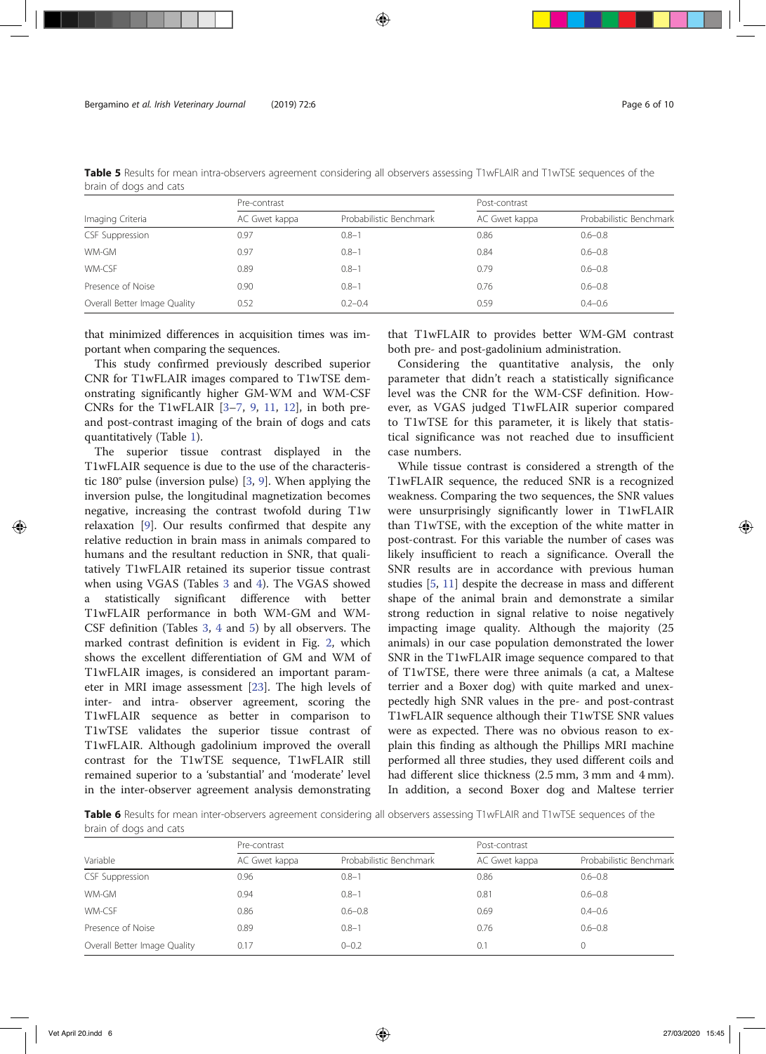|                              | Pre-contrast  |                         | Post-contrast |                         |  |
|------------------------------|---------------|-------------------------|---------------|-------------------------|--|
| Imaging Criteria             | AC Gwet kappa | Probabilistic Benchmark | AC Gwet kappa | Probabilistic Benchmark |  |
| <b>CSF Suppression</b>       | 0.97          | $0.8 - 1$               | 0.86          | $0.6 - 0.8$             |  |
| WM-GM                        | 0.97          | $0.8 - 1$               | 0.84          | $0.6 - 0.8$             |  |
| WM-CSF                       | 0.89          | $0.8 - 1$               | 0.79          | $0.6 - 0.8$             |  |
| Presence of Noise            | 0.90          | $0.8 - 1$               | 0.76          | $0.6 - 0.8$             |  |
| Overall Better Image Quality | 0.52          | $0.2 - 0.4$             | 0.59          | $0.4 - 0.6$             |  |

Table 5 Results for mean intra-observers agreement considering all observers assessing T1wFLAIR and T1wTSE sequences of the brain of dogs and cats

that minimized differences in acquisition times was important when comparing the sequences.

This study confirmed previously described superior CNR for T1wFLAIR images compared to T1wTSE demonstrating significantly higher GM-WM and WM-CSF CNRs for the T1wFLAIR [3–7, 9, 11, 12], in both preand post-contrast imaging of the brain of dogs and cats quantitatively (Table 1).

The superior tissue contrast displayed in the T1wFLAIR sequence is due to the use of the characteristic 180° pulse (inversion pulse) [3, 9]. When applying the inversion pulse, the longitudinal magnetization becomes negative, increasing the contrast twofold during T1w relaxation [9]. Our results confirmed that despite any relative reduction in brain mass in animals compared to humans and the resultant reduction in SNR, that qualitatively T1wFLAIR retained its superior tissue contrast when using VGAS (Tables 3 and 4). The VGAS showed a statistically significant difference with better T1wFLAIR performance in both WM-GM and WM-CSF definition (Tables 3, 4 and 5) by all observers. The marked contrast definition is evident in Fig. 2, which shows the excellent differentiation of GM and WM of T1wFLAIR images, is considered an important parameter in MRI image assessment [23]. The high levels of inter- and intra- observer agreement, scoring the T1wFLAIR sequence as better in comparison to T1wTSE validates the superior tissue contrast of T1wFLAIR. Although gadolinium improved the overall contrast for the T1wTSE sequence, T1wFLAIR still remained superior to a 'substantial' and 'moderate' level in the inter-observer agreement analysis demonstrating that T1wFLAIR to provides better WM-GM contrast both pre- and post-gadolinium administration.

Considering the quantitative analysis, the only parameter that didn't reach a statistically significance level was the CNR for the WM-CSF definition. However, as VGAS judged T1wFLAIR superior compared to T1wTSE for this parameter, it is likely that statistical significance was not reached due to insufficient case numbers.

While tissue contrast is considered a strength of the T1wFLAIR sequence, the reduced SNR is a recognized weakness. Comparing the two sequences, the SNR values were unsurprisingly significantly lower in T1wFLAIR than T1wTSE, with the exception of the white matter in post-contrast. For this variable the number of cases was likely insufficient to reach a significance. Overall the SNR results are in accordance with previous human studies [5, 11] despite the decrease in mass and different shape of the animal brain and demonstrate a similar strong reduction in signal relative to noise negatively impacting image quality. Although the majority (25 animals) in our case population demonstrated the lower SNR in the T1wFLAIR image sequence compared to that of T1wTSE, there were three animals (a cat, a Maltese terrier and a Boxer dog) with quite marked and unexpectedly high SNR values in the pre- and post-contrast T1wFLAIR sequence although their T1wTSE SNR values were as expected. There was no obvious reason to explain this finding as although the Phillips MRI machine performed all three studies, they used different coils and had different slice thickness (2.5 mm, 3 mm and 4 mm). In addition, a second Boxer dog and Maltese terrier

Table 6 Results for mean inter-observers agreement considering all observers assessing T1wFLAIR and T1wTSE sequences of the brain of dogs and cats

|                              | Pre-contrast  |                         | Post-contrast |                         |  |
|------------------------------|---------------|-------------------------|---------------|-------------------------|--|
| Variable                     | AC Gwet kappa | Probabilistic Benchmark | AC Gwet kappa | Probabilistic Benchmark |  |
| <b>CSF Suppression</b>       | 0.96          | $0.8 - 1$               | 0.86          | $0.6 - 0.8$             |  |
| WM-GM                        | 0.94          | $0.8 - 1$               | 0.81          | $0.6 - 0.8$             |  |
| WM-CSF                       | 0.86          | $0.6 - 0.8$             | 0.69          | $0.4 - 0.6$             |  |
| Presence of Noise            | 0.89          | $0.8 - 1$               | 0.76          | $0.6 - 0.8$             |  |
| Overall Better Image Quality | 0.17          | $0 - 0.2$               | 0.1           |                         |  |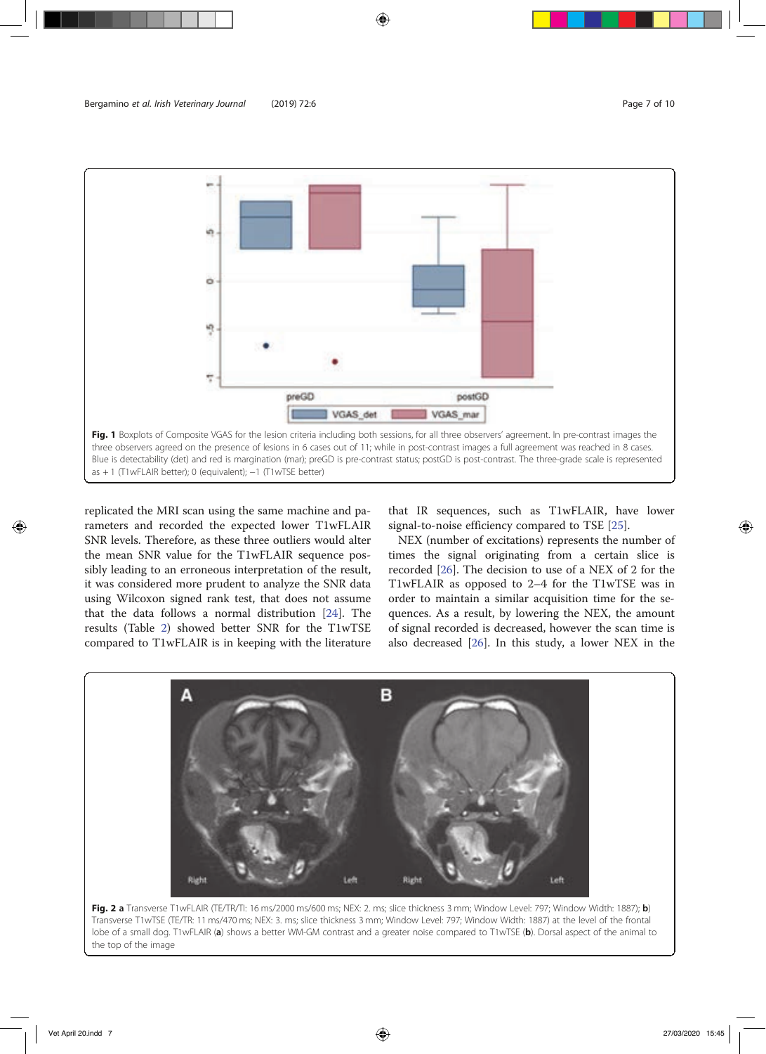

replicated the MRI scan using the same machine and parameters and recorded the expected lower T1wFLAIR SNR levels. Therefore, as these three outliers would alter the mean SNR value for the T1wFLAIR sequence possibly leading to an erroneous interpretation of the result, it was considered more prudent to analyze the SNR data using Wilcoxon signed rank test, that does not assume that the data follows a normal distribution [24]. The results (Table 2) showed better SNR for the T1wTSE compared to T1wFLAIR is in keeping with the literature

that IR sequences, such as T1wFLAIR, have lower signal-to-noise efficiency compared to TSE [25].

NEX (number of excitations) represents the number of times the signal originating from a certain slice is recorded [26]. The decision to use of a NEX of 2 for the T1wFLAIR as opposed to 2–4 for the T1wTSE was in order to maintain a similar acquisition time for the sequences. As a result, by lowering the NEX, the amount of signal recorded is decreased, however the scan time is also decreased [26]. In this study, a lower NEX in the



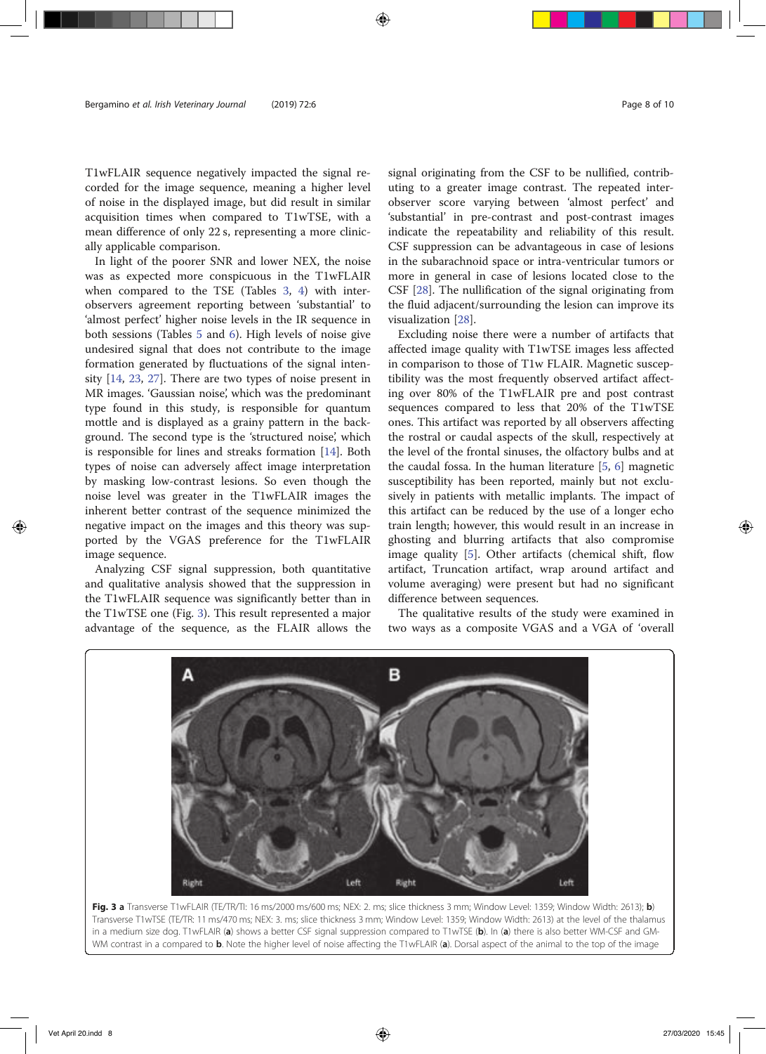T1wFLAIR sequence negatively impacted the signal recorded for the image sequence, meaning a higher level of noise in the displayed image, but did result in similar acquisition times when compared to T1wTSE, with a mean difference of only 22 s, representing a more clinically applicable comparison.

In light of the poorer SNR and lower NEX, the noise was as expected more conspicuous in the T1wFLAIR when compared to the TSE (Tables 3, 4) with interobservers agreement reporting between 'substantial' to 'almost perfect' higher noise levels in the IR sequence in both sessions (Tables 5 and 6). High levels of noise give undesired signal that does not contribute to the image formation generated by fluctuations of the signal intensity [14, 23, 27]. There are two types of noise present in MR images. 'Gaussian noise', which was the predominant type found in this study, is responsible for quantum mottle and is displayed as a grainy pattern in the background. The second type is the 'structured noise', which is responsible for lines and streaks formation [14]. Both types of noise can adversely affect image interpretation by masking low-contrast lesions. So even though the noise level was greater in the T1wFLAIR images the inherent better contrast of the sequence minimized the negative impact on the images and this theory was supported by the VGAS preference for the T1wFLAIR image sequence.

Analyzing CSF signal suppression, both quantitative and qualitative analysis showed that the suppression in the T1wFLAIR sequence was significantly better than in the T1wTSE one (Fig. 3). This result represented a major advantage of the sequence, as the FLAIR allows the signal originating from the CSF to be nullified, contributing to a greater image contrast. The repeated interobserver score varying between 'almost perfect' and 'substantial' in pre-contrast and post-contrast images indicate the repeatability and reliability of this result. CSF suppression can be advantageous in case of lesions in the subarachnoid space or intra-ventricular tumors or more in general in case of lesions located close to the CSF [28]. The nullification of the signal originating from the fluid adjacent/surrounding the lesion can improve its visualization [28].

Excluding noise there were a number of artifacts that affected image quality with T1wTSE images less affected in comparison to those of T1w FLAIR. Magnetic susceptibility was the most frequently observed artifact affecting over 80% of the T1wFLAIR pre and post contrast sequences compared to less that 20% of the T1wTSE ones. This artifact was reported by all observers affecting the rostral or caudal aspects of the skull, respectively at the level of the frontal sinuses, the olfactory bulbs and at the caudal fossa. In the human literature [5, 6] magnetic susceptibility has been reported, mainly but not exclusively in patients with metallic implants. The impact of this artifact can be reduced by the use of a longer echo train length; however, this would result in an increase in ghosting and blurring artifacts that also compromise image quality [5]. Other artifacts (chemical shift, flow artifact, Truncation artifact, wrap around artifact and volume averaging) were present but had no significant difference between sequences.

The qualitative results of the study were examined in two ways as a composite VGAS and a VGA of 'overall



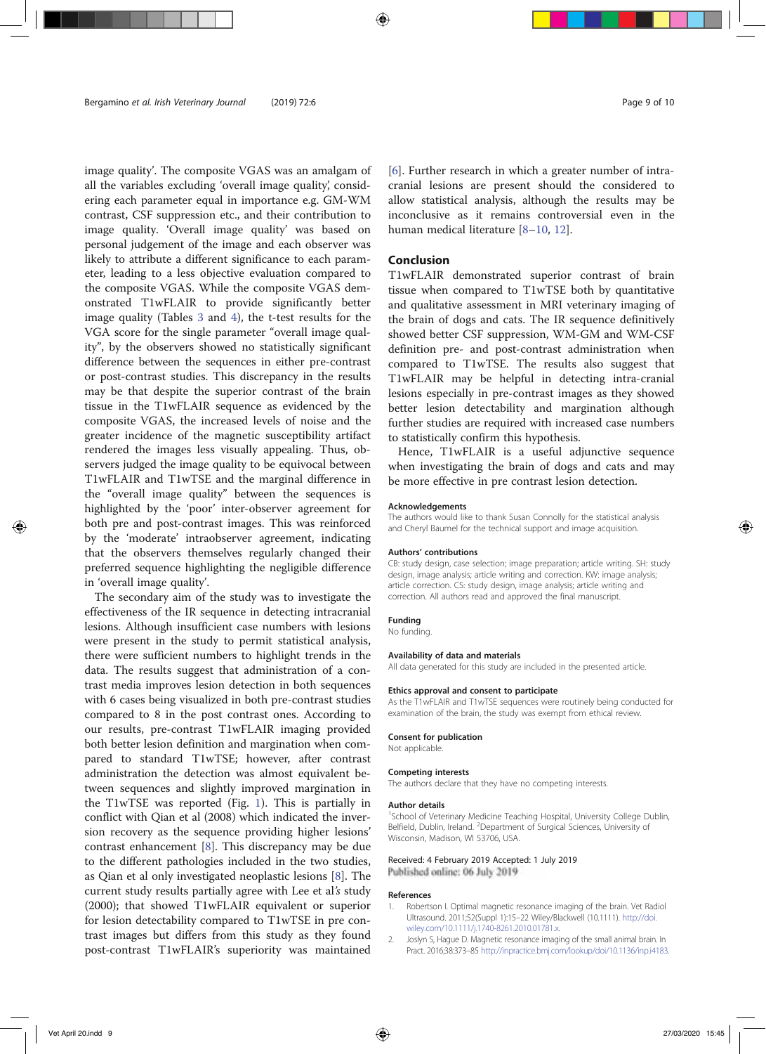image quality'. The composite VGAS was an amalgam of all the variables excluding 'overall image quality', considering each parameter equal in importance e.g. GM-WM contrast, CSF suppression etc., and their contribution to image quality. 'Overall image quality' was based on personal judgement of the image and each observer was likely to attribute a different significance to each parameter, leading to a less objective evaluation compared to the composite VGAS. While the composite VGAS demonstrated T1wFLAIR to provide significantly better image quality (Tables 3 and 4), the t-test results for the VGA score for the single parameter "overall image quality", by the observers showed no statistically significant difference between the sequences in either pre-contrast or post-contrast studies. This discrepancy in the results may be that despite the superior contrast of the brain tissue in the T1wFLAIR sequence as evidenced by the composite VGAS, the increased levels of noise and the greater incidence of the magnetic susceptibility artifact rendered the images less visually appealing. Thus, observers judged the image quality to be equivocal between T1wFLAIR and T1wTSE and the marginal difference in the "overall image quality" between the sequences is highlighted by the 'poor' inter-observer agreement for both pre and post-contrast images. This was reinforced by the 'moderate' intraobserver agreement, indicating that the observers themselves regularly changed their preferred sequence highlighting the negligible difference in 'overall image quality'.

The secondary aim of the study was to investigate the effectiveness of the IR sequence in detecting intracranial lesions. Although insufficient case numbers with lesions were present in the study to permit statistical analysis, there were sufficient numbers to highlight trends in the data. The results suggest that administration of a contrast media improves lesion detection in both sequences with 6 cases being visualized in both pre-contrast studies compared to 8 in the post contrast ones. According to our results, pre-contrast T1wFLAIR imaging provided both better lesion definition and margination when compared to standard T1wTSE; however, after contrast administration the detection was almost equivalent between sequences and slightly improved margination in the T1wTSE was reported (Fig. 1). This is partially in conflict with Qian et al (2008) which indicated the inversion recovery as the sequence providing higher lesions' contrast enhancement [8]. This discrepancy may be due to the different pathologies included in the two studies, as Qian et al only investigated neoplastic lesions [8]. The current study results partially agree with Lee et al's study (2000); that showed T1wFLAIR equivalent or superior for lesion detectability compared to T1wTSE in pre contrast images but differs from this study as they found post-contrast T1wFLAIR's superiority was maintained [6]. Further research in which a greater number of intracranial lesions are present should the considered to allow statistical analysis, although the results may be inconclusive as it remains controversial even in the human medical literature [8–10, 12].

# Conclusion

T1wFLAIR demonstrated superior contrast of brain tissue when compared to T1wTSE both by quantitative and qualitative assessment in MRI veterinary imaging of the brain of dogs and cats. The IR sequence definitively showed better CSF suppression, WM-GM and WM-CSF definition pre- and post-contrast administration when compared to T1wTSE. The results also suggest that T1wFLAIR may be helpful in detecting intra-cranial lesions especially in pre-contrast images as they showed better lesion detectability and margination although further studies are required with increased case numbers to statistically confirm this hypothesis.

Hence, T1wFLAIR is a useful adjunctive sequence when investigating the brain of dogs and cats and may be more effective in pre contrast lesion detection.

#### Acknowledgements

The authors would like to thank Susan Connolly for the statistical analysis and Cheryl Baumel for the technical support and image acquisition.

#### Authors' contributions

CB: study design, case selection; image preparation; article writing. SH: study design, image analysis; article writing and correction. KW: image analysis; article correction. CS: study design, image analysis; article writing and correction. All authors read and approved the final manuscript.

#### Funding

No funding.

#### Availability of data and materials

All data generated for this study are included in the presented article.

#### Ethics approval and consent to participate

As the T1wFLAIR and T1wTSE sequences were routinely being conducted for examination of the brain, the study was exempt from ethical review.

#### Consent for publication

Not applicable.

#### Competing interests The authors declare that they have no competing interests.

# Author details

<sup>1</sup>School of Veterinary Medicine Teaching Hospital, University College Dublin, Belfield, Dublin, Ireland. <sup>2</sup>Department of Surgical Sciences, University of Wisconsin, Madison, WI 53706, USA.

#### Received: 4 February 2019 Accepted: 1 July 2019 Published online: 06 July 2019

#### References

- 1. Robertson I. Optimal magnetic resonance imaging of the brain. Vet Radiol Ultrasound. 2011;52(Suppl 1):15–22 Wiley/Blackwell (10.1111). http://doi. wiley.com/10.1111/j.1740-8261.2010.01781.x.
- 2. Joslyn S, Hague D. Magnetic resonance imaging of the small animal brain. In Pract. 2016;38:373–85 http://inpractice.bmj.com/lookup/doi/10.1136/inp.i4183.